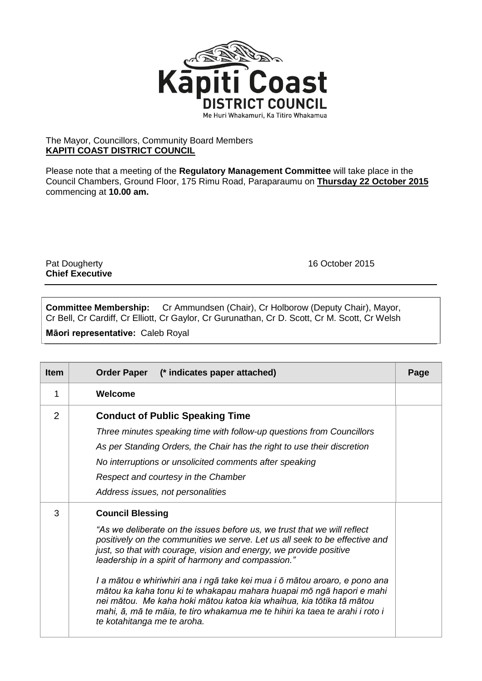

## The Mayor, Councillors, Community Board Members **KAPITI COAST DISTRICT COUNCIL**

Please note that a meeting of the **Regulatory Management Committee** will take place in the Council Chambers, Ground Floor, 175 Rimu Road, Paraparaumu on **Thursday 22 October 2015** commencing at **10.00 am.**

Pat Dougherty **16 October 2015 Chief Executive**

**Committee Membership:** Cr Ammundsen (Chair), Cr Holborow (Deputy Chair), Mayor, Cr Bell, Cr Cardiff, Cr Elliott, Cr Gaylor, Cr Gurunathan, Cr D. Scott, Cr M. Scott, Cr Welsh

**Māori representative:** Caleb Royal

| <b>Item</b> | (* indicates paper attached)<br><b>Order Paper</b>                                                                                                                                                                                                                                                                                                                                                                                                                                                                                                                                                                                                          | Page |
|-------------|-------------------------------------------------------------------------------------------------------------------------------------------------------------------------------------------------------------------------------------------------------------------------------------------------------------------------------------------------------------------------------------------------------------------------------------------------------------------------------------------------------------------------------------------------------------------------------------------------------------------------------------------------------------|------|
| 1           | Welcome                                                                                                                                                                                                                                                                                                                                                                                                                                                                                                                                                                                                                                                     |      |
| 2           | <b>Conduct of Public Speaking Time</b><br>Three minutes speaking time with follow-up questions from Councillors<br>As per Standing Orders, the Chair has the right to use their discretion<br>No interruptions or unsolicited comments after speaking<br>Respect and courtesy in the Chamber<br>Address issues, not personalities                                                                                                                                                                                                                                                                                                                           |      |
| 3           | <b>Council Blessing</b><br>"As we deliberate on the issues before us, we trust that we will reflect<br>positively on the communities we serve. Let us all seek to be effective and<br>just, so that with courage, vision and energy, we provide positive<br>leadership in a spirit of harmony and compassion."<br>I a mātou e whiriwhiri ana i ngā take kei mua i ō mātou aroaro, e pono ana<br>mātou ka kaha tonu ki te whakapau mahara huapai mō ngā hapori e mahi<br>nei mātou. Me kaha hoki mātou katoa kia whaihua, kia tōtika tā mātou<br>mahi, ā, mā te māia, te tiro whakamua me te hihiri ka taea te arahi i roto i<br>te kotahitanga me te aroha. |      |